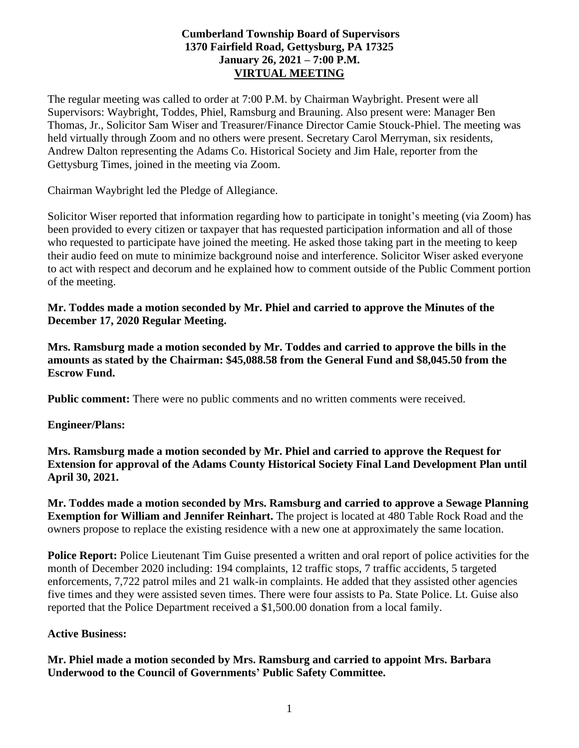# **Cumberland Township Board of Supervisors 1370 Fairfield Road, Gettysburg, PA 17325 January 26, 2021 – 7:00 P.M. VIRTUAL MEETING**

The regular meeting was called to order at 7:00 P.M. by Chairman Waybright. Present were all Supervisors: Waybright, Toddes, Phiel, Ramsburg and Brauning. Also present were: Manager Ben Thomas, Jr., Solicitor Sam Wiser and Treasurer/Finance Director Camie Stouck-Phiel. The meeting was held virtually through Zoom and no others were present. Secretary Carol Merryman, six residents, Andrew Dalton representing the Adams Co. Historical Society and Jim Hale, reporter from the Gettysburg Times, joined in the meeting via Zoom.

Chairman Waybright led the Pledge of Allegiance.

Solicitor Wiser reported that information regarding how to participate in tonight's meeting (via Zoom) has been provided to every citizen or taxpayer that has requested participation information and all of those who requested to participate have joined the meeting. He asked those taking part in the meeting to keep their audio feed on mute to minimize background noise and interference. Solicitor Wiser asked everyone to act with respect and decorum and he explained how to comment outside of the Public Comment portion of the meeting.

**Mr. Toddes made a motion seconded by Mr. Phiel and carried to approve the Minutes of the December 17, 2020 Regular Meeting.**

**Mrs. Ramsburg made a motion seconded by Mr. Toddes and carried to approve the bills in the amounts as stated by the Chairman: \$45,088.58 from the General Fund and \$8,045.50 from the Escrow Fund.**

**Public comment:** There were no public comments and no written comments were received.

**Engineer/Plans:**

**Mrs. Ramsburg made a motion seconded by Mr. Phiel and carried to approve the Request for Extension for approval of the Adams County Historical Society Final Land Development Plan until April 30, 2021.**

**Mr. Toddes made a motion seconded by Mrs. Ramsburg and carried to approve a Sewage Planning Exemption for William and Jennifer Reinhart.** The project is located at 480 Table Rock Road and the owners propose to replace the existing residence with a new one at approximately the same location.

**Police Report:** Police Lieutenant Tim Guise presented a written and oral report of police activities for the month of December 2020 including: 194 complaints, 12 traffic stops, 7 traffic accidents, 5 targeted enforcements, 7,722 patrol miles and 21 walk-in complaints. He added that they assisted other agencies five times and they were assisted seven times. There were four assists to Pa. State Police. Lt. Guise also reported that the Police Department received a \$1,500.00 donation from a local family.

# **Active Business:**

**Mr. Phiel made a motion seconded by Mrs. Ramsburg and carried to appoint Mrs. Barbara Underwood to the Council of Governments' Public Safety Committee.**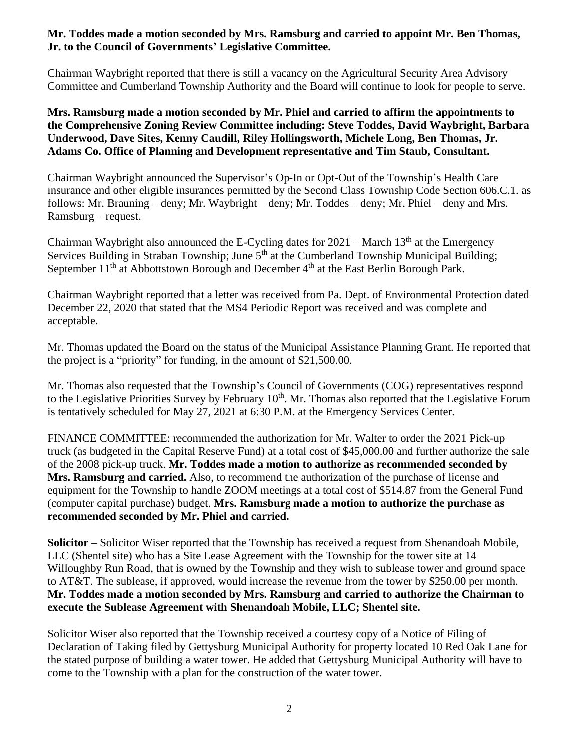# **Mr. Toddes made a motion seconded by Mrs. Ramsburg and carried to appoint Mr. Ben Thomas, Jr. to the Council of Governments' Legislative Committee.**

Chairman Waybright reported that there is still a vacancy on the Agricultural Security Area Advisory Committee and Cumberland Township Authority and the Board will continue to look for people to serve.

**Mrs. Ramsburg made a motion seconded by Mr. Phiel and carried to affirm the appointments to the Comprehensive Zoning Review Committee including: Steve Toddes, David Waybright, Barbara Underwood, Dave Sites, Kenny Caudill, Riley Hollingsworth, Michele Long, Ben Thomas, Jr. Adams Co. Office of Planning and Development representative and Tim Staub, Consultant.**

Chairman Waybright announced the Supervisor's Op-In or Opt-Out of the Township's Health Care insurance and other eligible insurances permitted by the Second Class Township Code Section 606.C.1. as follows: Mr. Brauning – deny; Mr. Waybright – deny; Mr. Toddes – deny; Mr. Phiel – deny and Mrs. Ramsburg – request.

Chairman Waybright also announced the E-Cycling dates for  $2021 -$  March  $13<sup>th</sup>$  at the Emergency Services Building in Straban Township; June  $5<sup>th</sup>$  at the Cumberland Township Municipal Building; September  $11<sup>th</sup>$  at Abbottstown Borough and December  $4<sup>th</sup>$  at the East Berlin Borough Park.

Chairman Waybright reported that a letter was received from Pa. Dept. of Environmental Protection dated December 22, 2020 that stated that the MS4 Periodic Report was received and was complete and acceptable.

Mr. Thomas updated the Board on the status of the Municipal Assistance Planning Grant. He reported that the project is a "priority" for funding, in the amount of \$21,500.00.

Mr. Thomas also requested that the Township's Council of Governments (COG) representatives respond to the Legislative Priorities Survey by February 10<sup>th</sup>. Mr. Thomas also reported that the Legislative Forum is tentatively scheduled for May 27, 2021 at 6:30 P.M. at the Emergency Services Center.

FINANCE COMMITTEE: recommended the authorization for Mr. Walter to order the 2021 Pick-up truck (as budgeted in the Capital Reserve Fund) at a total cost of \$45,000.00 and further authorize the sale of the 2008 pick-up truck. **Mr. Toddes made a motion to authorize as recommended seconded by Mrs. Ramsburg and carried.** Also, to recommend the authorization of the purchase of license and equipment for the Township to handle ZOOM meetings at a total cost of \$514.87 from the General Fund (computer capital purchase) budget. **Mrs. Ramsburg made a motion to authorize the purchase as recommended seconded by Mr. Phiel and carried.** 

**Solicitor –** Solicitor Wiser reported that the Township has received a request from Shenandoah Mobile, LLC (Shentel site) who has a Site Lease Agreement with the Township for the tower site at 14 Willoughby Run Road, that is owned by the Township and they wish to sublease tower and ground space to AT&T. The sublease, if approved, would increase the revenue from the tower by \$250.00 per month. **Mr. Toddes made a motion seconded by Mrs. Ramsburg and carried to authorize the Chairman to execute the Sublease Agreement with Shenandoah Mobile, LLC; Shentel site.**

Solicitor Wiser also reported that the Township received a courtesy copy of a Notice of Filing of Declaration of Taking filed by Gettysburg Municipal Authority for property located 10 Red Oak Lane for the stated purpose of building a water tower. He added that Gettysburg Municipal Authority will have to come to the Township with a plan for the construction of the water tower.